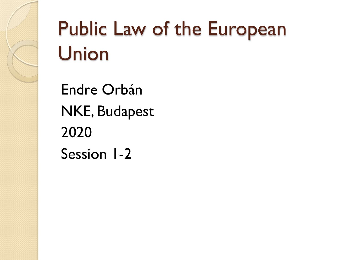# Public Law of the European Union

Endre Orbán NKE, Budapest 2020 Session 1-2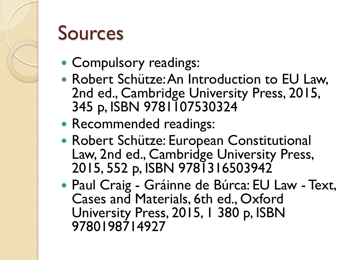

# Sources

- Compulsory readings:
- Robert Schütze: An Introduction to EU Law, 2nd ed., Cambridge University Press, 2015, 345 p, ISBN 9781107530324
- Recommended readings:
- Robert Schütze: European Constitutional Law, 2nd ed., Cambridge University Press, 2015, 552 p, ISBN 9781316503942
- Paul Craig Gráinne de Búrca: EU Law Text, Cases and Materials, 6th ed., Oxford University Press, 2015, 1 380 p, ISBN 9780198714927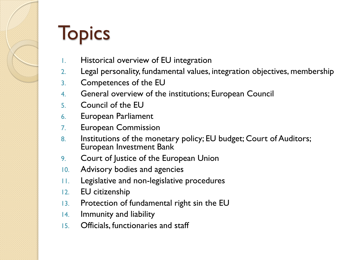# **Topics**

- 1. Historical overview of EU integration
- 2. Legal personality, fundamental values, integration objectives, membership
- 3. Competences of the EU
- 4. General overview of the institutions; European Council
- 5. Council of the EU
- 6. European Parliament
- 7. European Commission
- 8. Institutions of the monetary policy; EU budget; Court of Auditors; European Investment Bank
- 9. Court of Justice of the European Union
- 10. Advisory bodies and agencies
- 11. Legislative and non-legislative procedures
- 12. EU citizenship
- 13. Protection of fundamental right sin the EU
- 14. Immunity and liability
- 15. Officials, functionaries and staff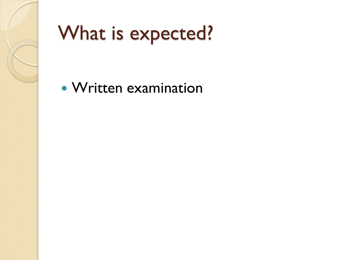

# What is expected?

Written examination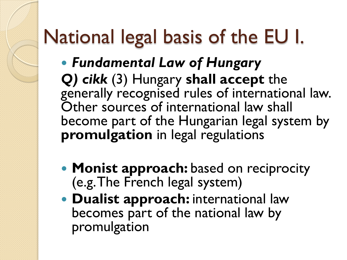# National legal basis of the EU I.

- *Fundamental Law of Hungary Q) cikk* (3) Hungary **shall accept** the generally recognised rules of international law. Other sources of international law shall become part of the Hungarian legal system by **promulgation** in legal regulations
- **Monist approach:** based on reciprocity (e.g. The French legal system)
- **Dualist approach:** international law becomes part of the national law by promulgation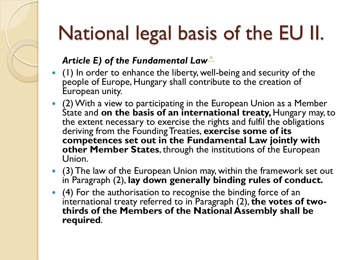# National legal basis of the EU II.

#### Article E) of the Fundamental Law<sup>[\\*](https://net.jogtar.hu/jogszabaly?docid=a1100425.atv)</sup>

- (1) In order to enhance the liberty, well-being and security of the people of Europe, Hungary shall contribute to the creation of European unity.
- (2) With a view to participating in the European Union as a Member State and **on the basis of an international treaty,** Hungary may, to the extent necessary to exercise the rights and fulfil the obligations deriving from the Founding Treaties, **exercise some of its competences set out in the Fundamental Law jointly with other Member States**, through the institutions of the European Union.
- (3) The law of the European Union may, within the framework set out in Paragraph (2), **lay down generally binding rules of conduct.**
- (4) For the authorisation to recognise the binding force of an international treaty referred to in Paragraph (2), **the votes of twothirds of the Members of the National Assembly shall be required**.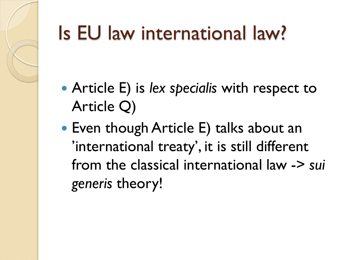# Is EU law international law?

- Article E) is *lex specialis* with respect to Article Q)
- Even though Article E) talks about an 'international treaty', it is still different from the classical international law -> *sui generis* theory!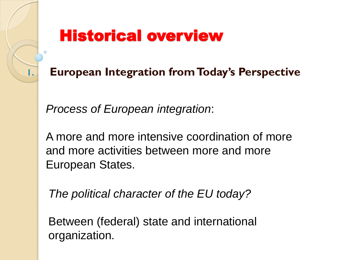# Historical overview

**1. European Integration from Today's Perspective**

*Process of European integration*:

A more and more intensive coordination of more and more activities between more and more European States.

*The political character of the EU today?*

Between (federal) state and international organization.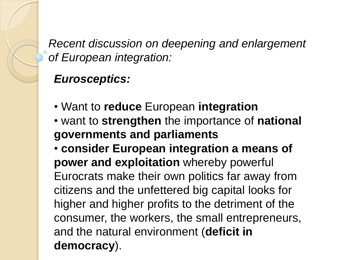*Recent discussion on deepening and enlargement of European integration:*

#### *Eurosceptics:*

- Want to **reduce** European **integration**
- want to **strengthen** the importance of **national governments and parliaments**
- **consider European integration a means of power and exploitation** whereby powerful Eurocrats make their own politics far away from citizens and the unfettered big capital looks for higher and higher profits to the detriment of the consumer, the workers, the small entrepreneurs, and the natural environment (**deficit in democracy**).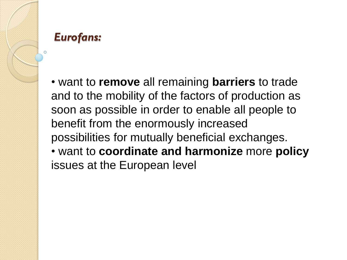

## *Eurofans:*

• want to **remove** all remaining **barriers** to trade and to the mobility of the factors of production as soon as possible in order to enable all people to benefit from the enormously increased possibilities for mutually beneficial exchanges. • want to **coordinate and harmonize** more **policy** issues at the European level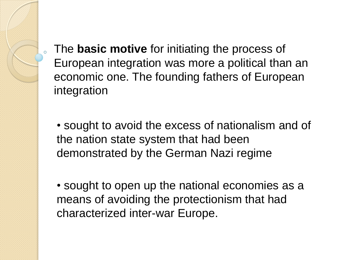The **basic motive** for initiating the process of European integration was more a political than an economic one. The founding fathers of European integration

• sought to avoid the excess of nationalism and of the nation state system that had been demonstrated by the German Nazi regime

• sought to open up the national economies as a means of avoiding the protectionism that had characterized inter-war Europe.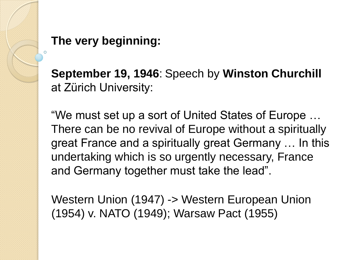

# **The very beginning:**

**September 19, 1946**: Speech by **Winston Churchill** at Zürich University:

"We must set up a sort of United States of Europe … There can be no revival of Europe without a spiritually great France and a spiritually great Germany … In this undertaking which is so urgently necessary, France and Germany together must take the lead".

Western Union (1947) -> Western European Union (1954) v. NATO (1949); Warsaw Pact (1955)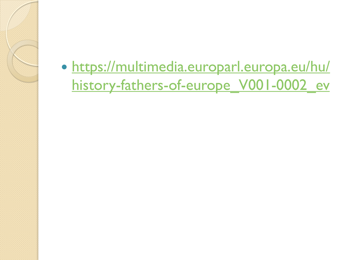[https://multimedia.europarl.europa.eu/hu/](https://multimedia.europarl.europa.eu/hu/history-fathers-of-europe_V001-0002_ev) [history-fathers-of-europe\\_V001-0002\\_ev](https://multimedia.europarl.europa.eu/hu/history-fathers-of-europe_V001-0002_ev)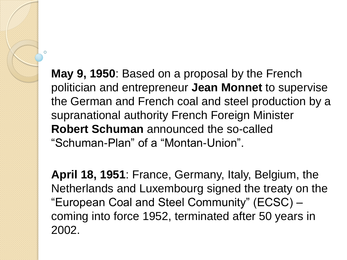**May 9, 1950**: Based on a proposal by the French politician and entrepreneur **Jean Monnet** to supervise the German and French coal and steel production by a supranational authority French Foreign Minister **Robert Schuman** announced the so-called "Schuman-Plan" of a "Montan-Union".

**April 18, 1951**: France, Germany, Italy, Belgium, the Netherlands and Luxembourg signed the treaty on the "European Coal and Steel Community" (ECSC) – coming into force 1952, terminated after 50 years in 2002.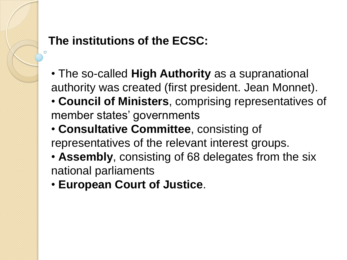### **The institutions of the ECSC:**

- The so-called **High Authority** as a supranational authority was created (first president. Jean Monnet).
- **Council of Ministers**, comprising representatives of member states' governments
- **Consultative Committee**, consisting of representatives of the relevant interest groups.
- **Assembly**, consisting of 68 delegates from the six national parliaments
- **European Court of Justice**.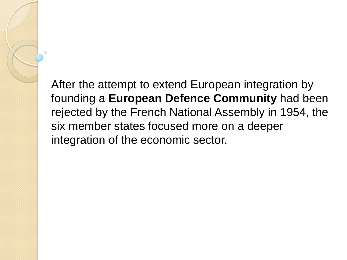After the attempt to extend European integration by founding a **European Defence Community** had been rejected by the French National Assembly in 1954, the six member states focused more on a deeper integration of the economic sector.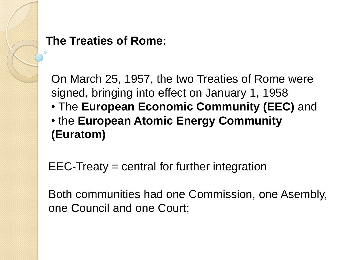#### **The Treaties of Rome:**

On March 25, 1957, the two Treaties of Rome were signed, bringing into effect on January 1, 1958

• The **European Economic Community (EEC)** and • the **European Atomic Energy Community (Euratom)**

EEC-Treaty = central for further integration

Both communities had one Commission, one Asembly, one Council and one Court;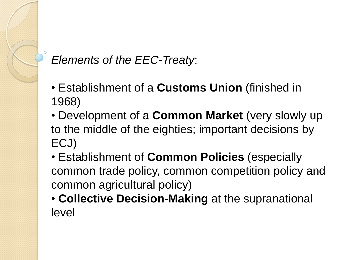# *Elements of the EEC-Treaty*:

- Establishment of a **Customs Union** (finished in 1968)
- Development of a **Common Market** (very slowly up to the middle of the eighties; important decisions by ECJ)
- Establishment of **Common Policies** (especially common trade policy, common competition policy and common agricultural policy)
- **Collective Decision-Making** at the supranational level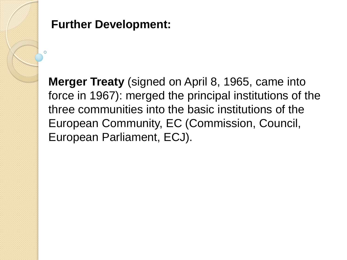

#### **Further Development:**

**Merger Treaty** (signed on April 8, 1965, came into force in 1967): merged the principal institutions of the three communities into the basic institutions of the European Community, EC (Commission, Council, European Parliament, ECJ).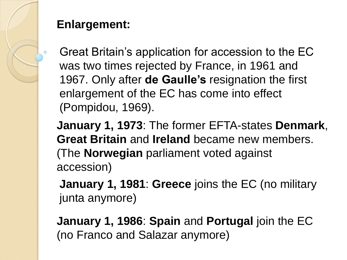

# **Enlargement:**

Great Britain"s application for accession to the EC was two times rejected by France, in 1961 and 1967. Only after **de Gaulle's** resignation the first enlargement of the EC has come into effect (Pompidou, 1969).

**January 1, 1973**: The former EFTA-states **Denmark**, **Great Britain** and **Ireland** became new members. (The **Norwegian** parliament voted against accession)

**January 1, 1981**: **Greece** joins the EC (no military junta anymore)

**January 1, 1986**: **Spain** and **Portugal** join the EC (no Franco and Salazar anymore)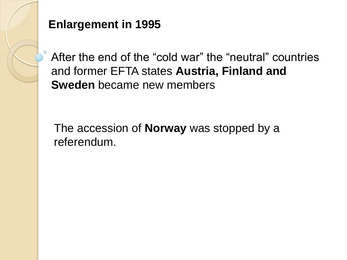

# **Enlargement in 1995**

After the end of the "cold war" the "neutral" countries and former EFTA states **Austria, Finland and Sweden** became new members

The accession of **Norway** was stopped by a referendum.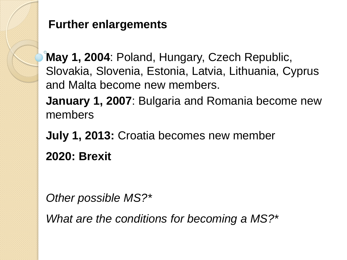#### **Further enlargements**

**May 1, 2004**: Poland, Hungary, Czech Republic, Slovakia, Slovenia, Estonia, Latvia, Lithuania, Cyprus and Malta become new members.

**January 1, 2007**: Bulgaria and Romania become new members

**July 1, 2013:** Croatia becomes new member **2020: Brexit**

*Other possible MS?\**

*What are the conditions for becoming a MS?\**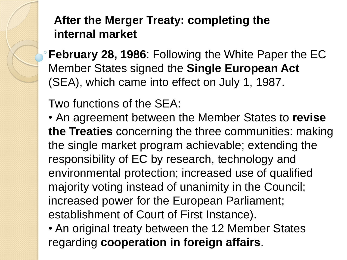**After the Merger Treaty: completing the internal market**

**February 28, 1986**: Following the White Paper the EC Member States signed the **Single European Act** (SEA), which came into effect on July 1, 1987.

Two functions of the SEA:

• An agreement between the Member States to **revise the Treaties** concerning the three communities: making the single market program achievable; extending the responsibility of EC by research, technology and environmental protection; increased use of qualified majority voting instead of unanimity in the Council; increased power for the European Parliament; establishment of Court of First Instance).

• An original treaty between the 12 Member States regarding **cooperation in foreign affairs**.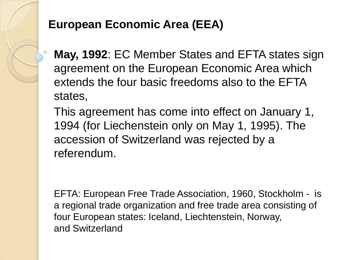#### **European Economic Area (EEA)**

**May, 1992**: EC Member States and EFTA states sign agreement on the European Economic Area which extends the four basic freedoms also to the EFTA states,

This agreement has come into effect on January 1, 1994 (for Liechenstein only on May 1, 1995). The accession of Switzerland was rejected by a referendum.

EFTA: European Free Trade Association, 1960, Stockholm - is a regional trade organization and free trade area consisting of four European states: Iceland, Liechtenstein, Norway, and Switzerland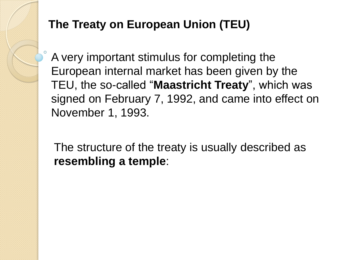# **The Treaty on European Union (TEU)**

A very important stimulus for completing the European internal market has been given by the TEU, the so-called "**Maastricht Treaty**", which was signed on February 7, 1992, and came into effect on November 1, 1993.

The structure of the treaty is usually described as **resembling a temple**: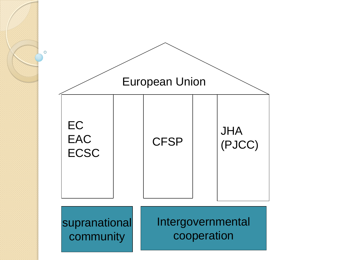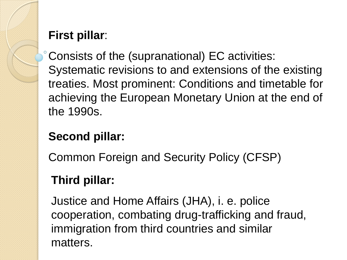### **First pillar**:

Consists of the (supranational) EC activities: Systematic revisions to and extensions of the existing treaties. Most prominent: Conditions and timetable for achieving the European Monetary Union at the end of the 1990s.

# **Second pillar:**

Common Foreign and Security Policy (CFSP)

# **Third pillar:**

Justice and Home Affairs (JHA), i. e. police cooperation, combating drug-trafficking and fraud, immigration from third countries and similar matters.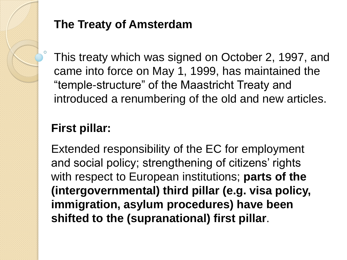

### **The Treaty of Amsterdam**

This treaty which was signed on October 2, 1997, and came into force on May 1, 1999, has maintained the "temple-structure" of the Maastricht Treaty and introduced a renumbering of the old and new articles.

# **First pillar:**

Extended responsibility of the EC for employment and social policy; strengthening of citizens' rights with respect to European institutions; **parts of the (intergovernmental) third pillar (e.g. visa policy, immigration, asylum procedures) have been shifted to the (supranational) first pillar**.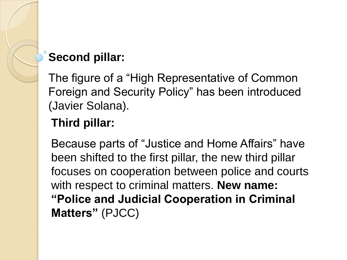# **Second pillar:**

The figure of a "High Representative of Common Foreign and Security Policy" has been introduced (Javier Solana).

### **Third pillar:**

Because parts of "Justice and Home Affairs" have been shifted to the first pillar, the new third pillar focuses on cooperation between police and courts with respect to criminal matters. **New name: "Police and Judicial Cooperation in Criminal Matters"** (PJCC)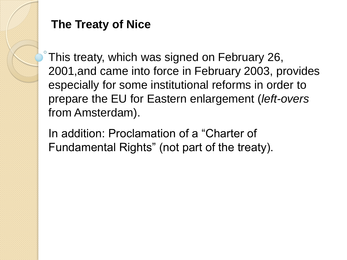#### **The Treaty of Nice**

This treaty, which was signed on February 26, 2001,and came into force in February 2003, provides especially for some institutional reforms in order to prepare the EU for Eastern enlargement (*left-overs* from Amsterdam).

In addition: Proclamation of a "Charter of Fundamental Rights" (not part of the treaty).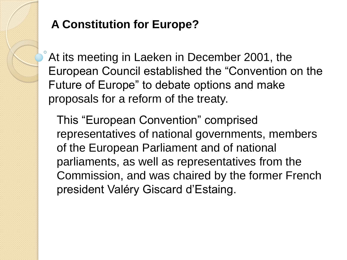### **A Constitution for Europe?**

At its meeting in Laeken in December 2001, the European Council established the "Convention on the Future of Europe" to debate options and make proposals for a reform of the treaty.

This "European Convention" comprised representatives of national governments, members of the European Parliament and of national parliaments, as well as representatives from the Commission, and was chaired by the former French president Valéry Giscard d"Estaing.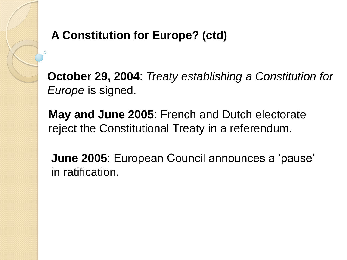# **A Constitution for Europe? (ctd)**

**October 29, 2004**: *Treaty establishing a Constitution for Europe* is signed.

**May and June 2005**: French and Dutch electorate reject the Constitutional Treaty in a referendum.

**June 2005**: European Council announces a "pause" in ratification.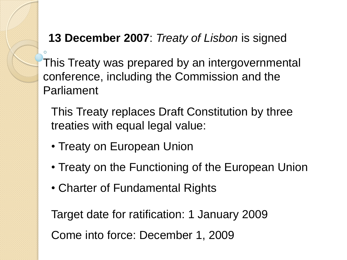#### **13 December 2007**: *Treaty of Lisbon* is signed

This Treaty was prepared by an intergovernmental conference, including the Commission and the Parliament

This Treaty replaces Draft Constitution by three treaties with equal legal value:

- Treaty on European Union
- Treaty on the Functioning of the European Union
- Charter of Fundamental Rights

Target date for ratification: 1 January 2009 Come into force: December 1, 2009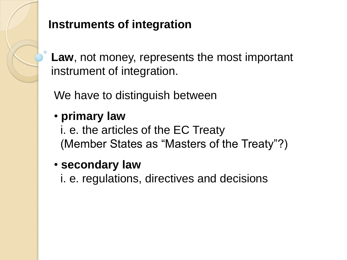

# **Instruments of integration**

**Law**, not money, represents the most important instrument of integration.

We have to distinguish between

• **primary law**

i. e. the articles of the EC Treaty (Member States as "Masters of the Treaty"?)

• **secondary law**

i. e. regulations, directives and decisions